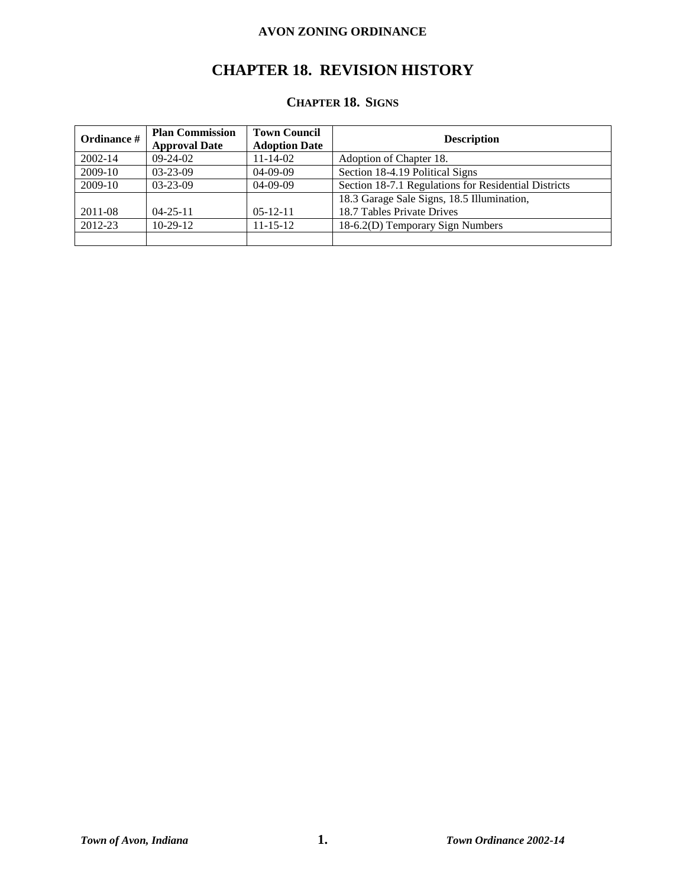# **CHAPTER 18. REVISION HISTORY**

# **CHAPTER 18. SIGNS**

| Ordinance # | <b>Plan Commission</b><br><b>Approval Date</b> | <b>Town Council</b><br><b>Adoption Date</b> | <b>Description</b>                                   |
|-------------|------------------------------------------------|---------------------------------------------|------------------------------------------------------|
| $2002 - 14$ | $09-24-02$                                     | $11 - 14 - 02$                              | Adoption of Chapter 18.                              |
| 2009-10     | $03 - 23 - 09$                                 | $04-09-09$                                  | Section 18-4.19 Political Signs                      |
| 2009-10     | $03-23-09$                                     | $04-09-09$                                  | Section 18-7.1 Regulations for Residential Districts |
|             |                                                |                                             | 18.3 Garage Sale Signs, 18.5 Illumination,           |
| 2011-08     | $04 - 25 - 11$                                 | $0.5 - 12 - 11$                             | 18.7 Tables Private Drives                           |
| 2012-23     | $10-29-12$                                     | $11 - 15 - 12$                              | 18-6.2(D) Temporary Sign Numbers                     |
|             |                                                |                                             |                                                      |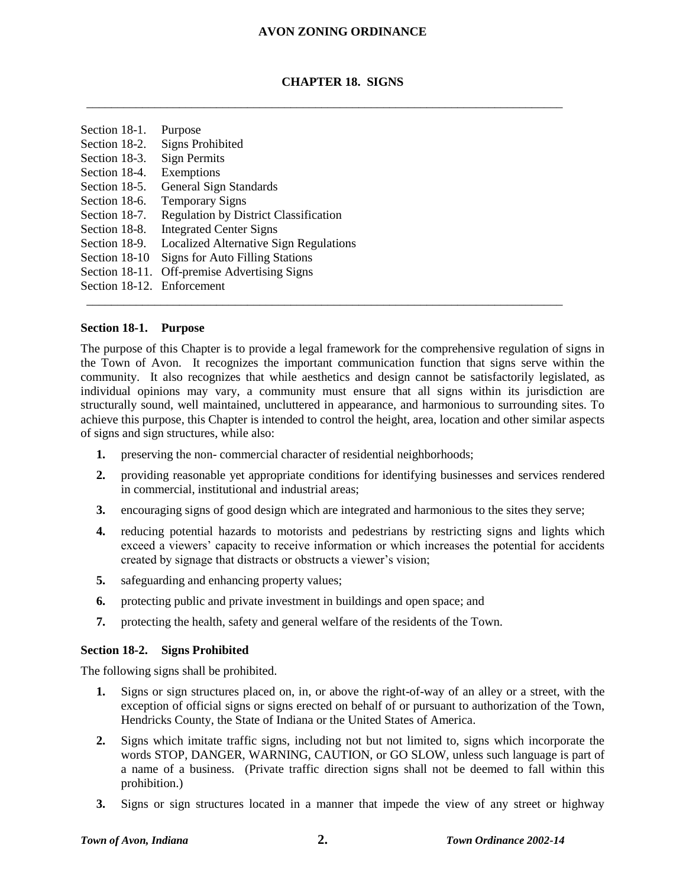#### **CHAPTER 18. SIGNS**

\_\_\_\_\_\_\_\_\_\_\_\_\_\_\_\_\_\_\_\_\_\_\_\_\_\_\_\_\_\_\_\_\_\_\_\_\_\_\_\_\_\_\_\_\_\_\_\_\_\_\_\_\_\_\_\_\_\_\_\_\_\_\_\_\_\_\_\_\_\_\_\_\_\_\_\_\_

| Section 18-1.  | Purpose                                       |
|----------------|-----------------------------------------------|
| Section 18-2.  | <b>Signs Prohibited</b>                       |
| Section 18-3.  | <b>Sign Permits</b>                           |
| Section 18-4.  | Exemptions                                    |
| Section 18-5.  | <b>General Sign Standards</b>                 |
| Section 18-6.  | <b>Temporary Signs</b>                        |
| Section 18-7.  | <b>Regulation by District Classification</b>  |
| Section 18-8.  | <b>Integrated Center Signs</b>                |
| Section 18-9.  | <b>Localized Alternative Sign Regulations</b> |
| Section 18-10  | <b>Signs for Auto Filling Stations</b>        |
| Section 18-11. | <b>Off-premise Advertising Signs</b>          |
| Section 18-12. | Enforcement                                   |

#### **Section 18-1. Purpose**

The purpose of this Chapter is to provide a legal framework for the comprehensive regulation of signs in the Town of Avon. It recognizes the important communication function that signs serve within the community. It also recognizes that while aesthetics and design cannot be satisfactorily legislated, as individual opinions may vary, a community must ensure that all signs within its jurisdiction are structurally sound, well maintained, uncluttered in appearance, and harmonious to surrounding sites. To achieve this purpose, this Chapter is intended to control the height, area, location and other similar aspects of signs and sign structures, while also:

\_\_\_\_\_\_\_\_\_\_\_\_\_\_\_\_\_\_\_\_\_\_\_\_\_\_\_\_\_\_\_\_\_\_\_\_\_\_\_\_\_\_\_\_\_\_\_\_\_\_\_\_\_\_\_\_\_\_\_\_\_\_\_\_\_\_\_\_\_\_\_\_\_\_\_\_\_

- **1.** preserving the non- commercial character of residential neighborhoods;
- **2.** providing reasonable yet appropriate conditions for identifying businesses and services rendered in commercial, institutional and industrial areas;
- **3.** encouraging signs of good design which are integrated and harmonious to the sites they serve;
- **4.** reducing potential hazards to motorists and pedestrians by restricting signs and lights which exceed a viewers' capacity to receive information or which increases the potential for accidents created by signage that distracts or obstructs a viewer's vision;
- **5.** safeguarding and enhancing property values;
- **6.** protecting public and private investment in buildings and open space; and
- **7.** protecting the health, safety and general welfare of the residents of the Town.

#### **Section 18-2. Signs Prohibited**

The following signs shall be prohibited.

- **1.** Signs or sign structures placed on, in, or above the right-of-way of an alley or a street, with the exception of official signs or signs erected on behalf of or pursuant to authorization of the Town, Hendricks County, the State of Indiana or the United States of America.
- **2.** Signs which imitate traffic signs, including not but not limited to, signs which incorporate the words STOP, DANGER, WARNING, CAUTION, or GO SLOW, unless such language is part of a name of a business. (Private traffic direction signs shall not be deemed to fall within this prohibition.)
- **3.** Signs or sign structures located in a manner that impede the view of any street or highway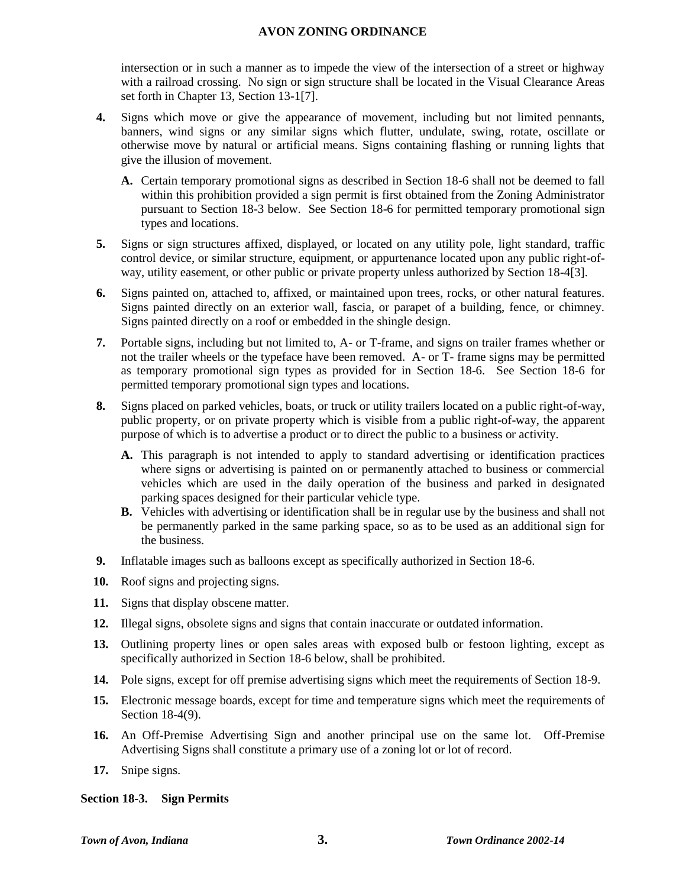intersection or in such a manner as to impede the view of the intersection of a street or highway with a railroad crossing. No sign or sign structure shall be located in the Visual Clearance Areas set forth in Chapter 13, Section 13-1[7].

- **4.** Signs which move or give the appearance of movement, including but not limited pennants, banners, wind signs or any similar signs which flutter, undulate, swing, rotate, oscillate or otherwise move by natural or artificial means. Signs containing flashing or running lights that give the illusion of movement.
	- **A.** Certain temporary promotional signs as described in Section 18-6 shall not be deemed to fall within this prohibition provided a sign permit is first obtained from the Zoning Administrator pursuant to Section 18-3 below. See Section 18-6 for permitted temporary promotional sign types and locations.
- **5.** Signs or sign structures affixed, displayed, or located on any utility pole, light standard, traffic control device, or similar structure, equipment, or appurtenance located upon any public right-ofway, utility easement, or other public or private property unless authorized by Section 18-4[3].
- **6.** Signs painted on, attached to, affixed, or maintained upon trees, rocks, or other natural features. Signs painted directly on an exterior wall, fascia, or parapet of a building, fence, or chimney. Signs painted directly on a roof or embedded in the shingle design.
- **7.** Portable signs, including but not limited to, A- or T-frame, and signs on trailer frames whether or not the trailer wheels or the typeface have been removed. A- or T- frame signs may be permitted as temporary promotional sign types as provided for in Section 18-6. See Section 18-6 for permitted temporary promotional sign types and locations.
- **8.** Signs placed on parked vehicles, boats, or truck or utility trailers located on a public right-of-way, public property, or on private property which is visible from a public right-of-way, the apparent purpose of which is to advertise a product or to direct the public to a business or activity.
	- **A.** This paragraph is not intended to apply to standard advertising or identification practices where signs or advertising is painted on or permanently attached to business or commercial vehicles which are used in the daily operation of the business and parked in designated parking spaces designed for their particular vehicle type.
	- **B.** Vehicles with advertising or identification shall be in regular use by the business and shall not be permanently parked in the same parking space, so as to be used as an additional sign for the business.
- **9.** Inflatable images such as balloons except as specifically authorized in Section 18-6.
- **10.** Roof signs and projecting signs.
- **11.** Signs that display obscene matter.
- **12.** Illegal signs, obsolete signs and signs that contain inaccurate or outdated information.
- **13.** Outlining property lines or open sales areas with exposed bulb or festoon lighting, except as specifically authorized in Section 18-6 below, shall be prohibited.
- **14.** Pole signs, except for off premise advertising signs which meet the requirements of Section 18-9.
- **15.** Electronic message boards, except for time and temperature signs which meet the requirements of Section 18-4(9).
- **16.** An Off-Premise Advertising Sign and another principal use on the same lot. Off-Premise Advertising Signs shall constitute a primary use of a zoning lot or lot of record.
- **17.** Snipe signs.

#### **Section 18-3. Sign Permits**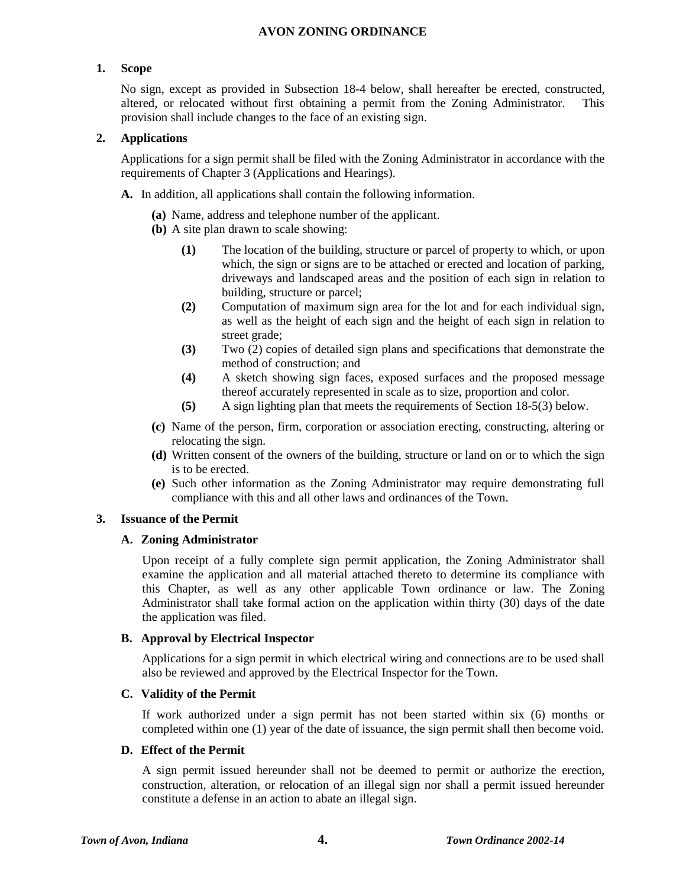#### **1. Scope**

No sign, except as provided in Subsection 18-4 below, shall hereafter be erected, constructed, altered, or relocated without first obtaining a permit from the Zoning Administrator. This provision shall include changes to the face of an existing sign.

#### **2. Applications**

Applications for a sign permit shall be filed with the Zoning Administrator in accordance with the requirements of Chapter 3 (Applications and Hearings).

- **A.** In addition, all applications shall contain the following information.
	- **(a)** Name, address and telephone number of the applicant.
	- **(b)** A site plan drawn to scale showing:
		- **(1)** The location of the building, structure or parcel of property to which, or upon which, the sign or signs are to be attached or erected and location of parking, driveways and landscaped areas and the position of each sign in relation to building, structure or parcel;
		- **(2)** Computation of maximum sign area for the lot and for each individual sign, as well as the height of each sign and the height of each sign in relation to street grade;
		- **(3)** Two (2) copies of detailed sign plans and specifications that demonstrate the method of construction; and
		- **(4)** A sketch showing sign faces, exposed surfaces and the proposed message thereof accurately represented in scale as to size, proportion and color.
		- **(5)** A sign lighting plan that meets the requirements of Section 18-5(3) below.
	- **(c)** Name of the person, firm, corporation or association erecting, constructing, altering or relocating the sign.
	- **(d)** Written consent of the owners of the building, structure or land on or to which the sign is to be erected.
	- **(e)** Such other information as the Zoning Administrator may require demonstrating full compliance with this and all other laws and ordinances of the Town.

# **3. Issuance of the Permit**

#### **A. Zoning Administrator**

Upon receipt of a fully complete sign permit application, the Zoning Administrator shall examine the application and all material attached thereto to determine its compliance with this Chapter, as well as any other applicable Town ordinance or law. The Zoning Administrator shall take formal action on the application within thirty (30) days of the date the application was filed.

#### **B. Approval by Electrical Inspector**

Applications for a sign permit in which electrical wiring and connections are to be used shall also be reviewed and approved by the Electrical Inspector for the Town.

#### **C. Validity of the Permit**

If work authorized under a sign permit has not been started within six (6) months or completed within one (1) year of the date of issuance, the sign permit shall then become void.

#### **D. Effect of the Permit**

A sign permit issued hereunder shall not be deemed to permit or authorize the erection, construction, alteration, or relocation of an illegal sign nor shall a permit issued hereunder constitute a defense in an action to abate an illegal sign.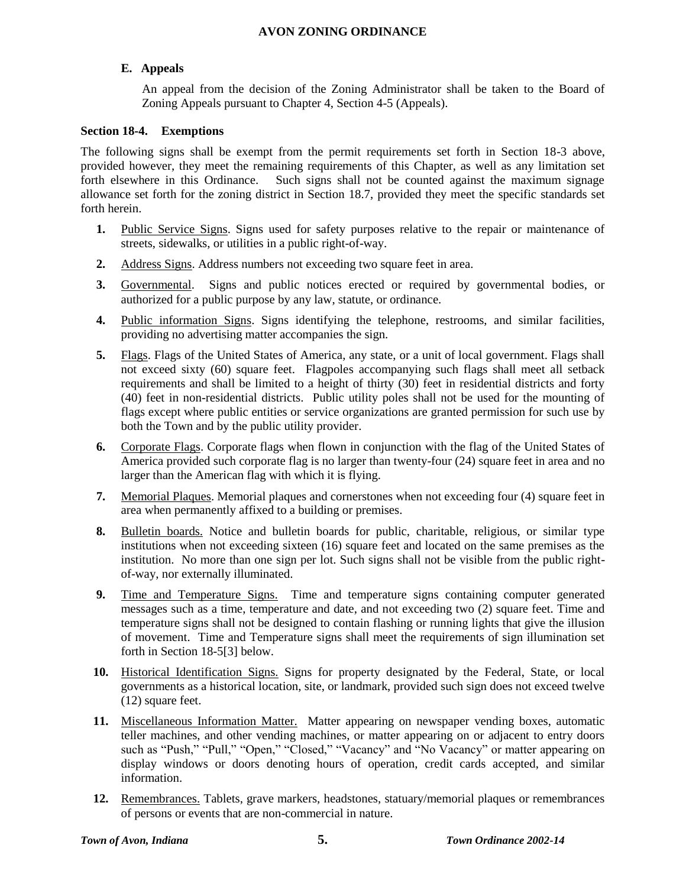# **E. Appeals**

An appeal from the decision of the Zoning Administrator shall be taken to the Board of Zoning Appeals pursuant to Chapter 4, Section 4-5 (Appeals).

#### **Section 18-4. Exemptions**

The following signs shall be exempt from the permit requirements set forth in Section 18-3 above, provided however, they meet the remaining requirements of this Chapter, as well as any limitation set forth elsewhere in this Ordinance. Such signs shall not be counted against the maximum signage allowance set forth for the zoning district in Section 18.7, provided they meet the specific standards set forth herein.

- **1.** Public Service Signs. Signs used for safety purposes relative to the repair or maintenance of streets, sidewalks, or utilities in a public right-of-way.
- **2.** Address Signs. Address numbers not exceeding two square feet in area.
- **3.** Governmental. Signs and public notices erected or required by governmental bodies, or authorized for a public purpose by any law, statute, or ordinance.
- **4.** Public information Signs. Signs identifying the telephone, restrooms, and similar facilities, providing no advertising matter accompanies the sign.
- **5.** Flags. Flags of the United States of America, any state, or a unit of local government. Flags shall not exceed sixty (60) square feet. Flagpoles accompanying such flags shall meet all setback requirements and shall be limited to a height of thirty (30) feet in residential districts and forty (40) feet in non-residential districts. Public utility poles shall not be used for the mounting of flags except where public entities or service organizations are granted permission for such use by both the Town and by the public utility provider.
- **6.** Corporate Flags. Corporate flags when flown in conjunction with the flag of the United States of America provided such corporate flag is no larger than twenty-four (24) square feet in area and no larger than the American flag with which it is flying.
- **7.** Memorial Plaques. Memorial plaques and cornerstones when not exceeding four (4) square feet in area when permanently affixed to a building or premises.
- **8.** Bulletin boards. Notice and bulletin boards for public, charitable, religious, or similar type institutions when not exceeding sixteen (16) square feet and located on the same premises as the institution. No more than one sign per lot. Such signs shall not be visible from the public rightof-way, nor externally illuminated.
- **9.** Time and Temperature Signs. Time and temperature signs containing computer generated messages such as a time, temperature and date, and not exceeding two (2) square feet. Time and temperature signs shall not be designed to contain flashing or running lights that give the illusion of movement. Time and Temperature signs shall meet the requirements of sign illumination set forth in Section 18-5[3] below.
- **10.** Historical Identification Signs. Signs for property designated by the Federal, State, or local governments as a historical location, site, or landmark, provided such sign does not exceed twelve (12) square feet.
- 11. Miscellaneous Information Matter. Matter appearing on newspaper vending boxes, automatic teller machines, and other vending machines, or matter appearing on or adjacent to entry doors such as "Push," "Pull," "Open," "Closed," "Vacancy" and "No Vacancy" or matter appearing on display windows or doors denoting hours of operation, credit cards accepted, and similar information.
- **12.** Remembrances. Tablets, grave markers, headstones, statuary/memorial plaques or remembrances of persons or events that are non-commercial in nature.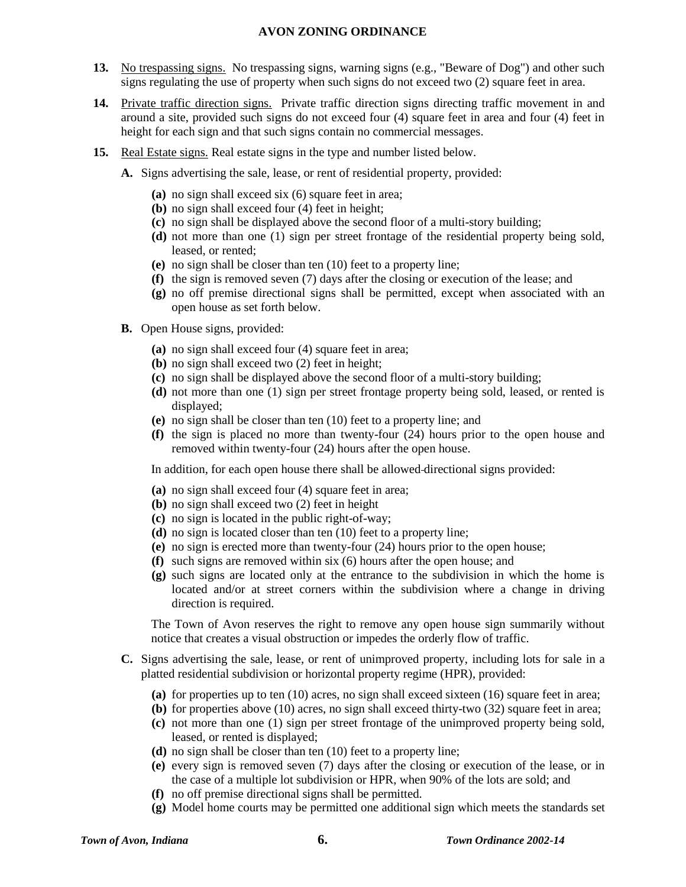- **13.** No trespassing signs. No trespassing signs, warning signs (e.g., "Beware of Dog") and other such signs regulating the use of property when such signs do not exceed two (2) square feet in area.
- **14.** Private traffic direction signs. Private traffic direction signs directing traffic movement in and around a site, provided such signs do not exceed four (4) square feet in area and four (4) feet in height for each sign and that such signs contain no commercial messages.
- **15.** Real Estate signs. Real estate signs in the type and number listed below.
	- **A.** Signs advertising the sale, lease, or rent of residential property, provided:
		- **(a)** no sign shall exceed six (6) square feet in area;
		- **(b)** no sign shall exceed four (4) feet in height;
		- **(c)** no sign shall be displayed above the second floor of a multi-story building;
		- **(d)** not more than one (1) sign per street frontage of the residential property being sold, leased, or rented;
		- **(e)** no sign shall be closer than ten (10) feet to a property line;
		- **(f)** the sign is removed seven (7) days after the closing or execution of the lease; and
		- **(g)** no off premise directional signs shall be permitted, except when associated with an open house as set forth below.
	- **B.** Open House signs, provided:
		- **(a)** no sign shall exceed four (4) square feet in area;
		- **(b)** no sign shall exceed two (2) feet in height;
		- **(c)** no sign shall be displayed above the second floor of a multi-story building;
		- **(d)** not more than one (1) sign per street frontage property being sold, leased, or rented is displayed;
		- **(e)** no sign shall be closer than ten (10) feet to a property line; and
		- **(f)** the sign is placed no more than twenty-four (24) hours prior to the open house and removed within twenty-four (24) hours after the open house.

In addition, for each open house there shall be allowed directional signs provided:

- **(a)** no sign shall exceed four (4) square feet in area;
- **(b)** no sign shall exceed two (2) feet in height
- **(c)** no sign is located in the public right-of-way;
- **(d)** no sign is located closer than ten (10) feet to a property line;
- **(e)** no sign is erected more than twenty-four (24) hours prior to the open house;
- **(f)** such signs are removed within six (6) hours after the open house; and
- **(g)** such signs are located only at the entrance to the subdivision in which the home is located and/or at street corners within the subdivision where a change in driving direction is required.

The Town of Avon reserves the right to remove any open house sign summarily without notice that creates a visual obstruction or impedes the orderly flow of traffic.

- **C.** Signs advertising the sale, lease, or rent of unimproved property, including lots for sale in a platted residential subdivision or horizontal property regime (HPR), provided:
	- **(a)** for properties up to ten (10) acres, no sign shall exceed sixteen (16) square feet in area;
	- **(b)** for properties above (10) acres, no sign shall exceed thirty-two (32) square feet in area;
	- **(c)** not more than one (1) sign per street frontage of the unimproved property being sold, leased, or rented is displayed;
	- **(d)** no sign shall be closer than ten (10) feet to a property line;
	- **(e)** every sign is removed seven (7) days after the closing or execution of the lease, or in the case of a multiple lot subdivision or HPR, when 90% of the lots are sold; and
	- **(f)** no off premise directional signs shall be permitted.
	- **(g)** Model home courts may be permitted one additional sign which meets the standards set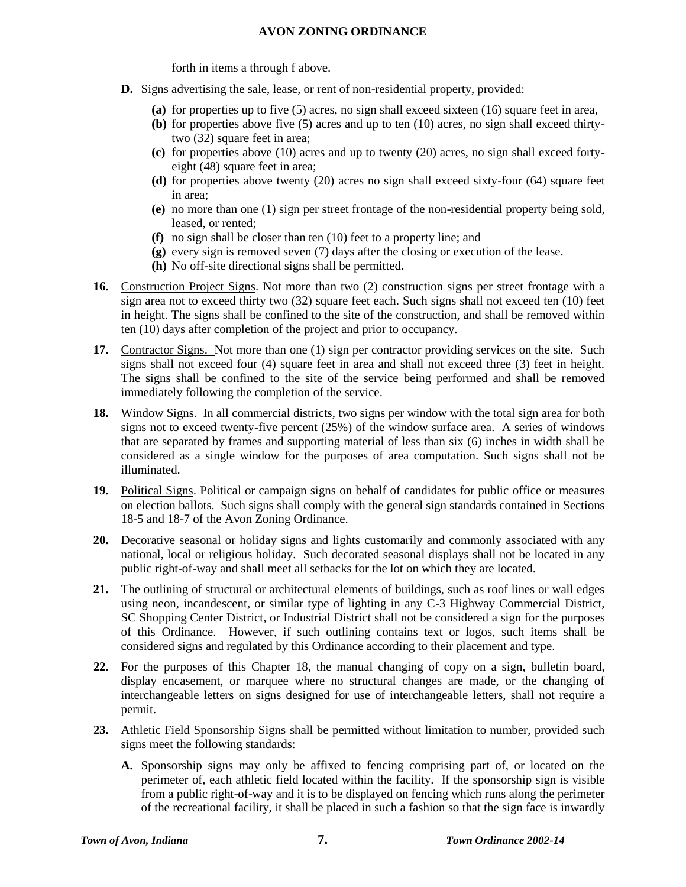forth in items a through f above.

- **D.** Signs advertising the sale, lease, or rent of non-residential property, provided:
	- **(a)** for properties up to five (5) acres, no sign shall exceed sixteen (16) square feet in area,
	- **(b)** for properties above five (5) acres and up to ten (10) acres, no sign shall exceed thirtytwo (32) square feet in area;
	- **(c)** for properties above (10) acres and up to twenty (20) acres, no sign shall exceed fortyeight (48) square feet in area;
	- **(d)** for properties above twenty (20) acres no sign shall exceed sixty-four (64) square feet in area;
	- **(e)** no more than one (1) sign per street frontage of the non-residential property being sold, leased, or rented;
	- **(f)** no sign shall be closer than ten (10) feet to a property line; and
	- **(g)** every sign is removed seven (7) days after the closing or execution of the lease.
	- **(h)** No off-site directional signs shall be permitted.
- **16.** Construction Project Signs. Not more than two (2) construction signs per street frontage with a sign area not to exceed thirty two (32) square feet each. Such signs shall not exceed ten (10) feet in height. The signs shall be confined to the site of the construction, and shall be removed within ten (10) days after completion of the project and prior to occupancy.
- 17. Contractor Signs. Not more than one (1) sign per contractor providing services on the site. Such signs shall not exceed four (4) square feet in area and shall not exceed three (3) feet in height. The signs shall be confined to the site of the service being performed and shall be removed immediately following the completion of the service.
- **18.** Window Signs. In all commercial districts, two signs per window with the total sign area for both signs not to exceed twenty-five percent (25%) of the window surface area. A series of windows that are separated by frames and supporting material of less than six (6) inches in width shall be considered as a single window for the purposes of area computation. Such signs shall not be illuminated.
- **19.** Political Signs. Political or campaign signs on behalf of candidates for public office or measures on election ballots. Such signs shall comply with the general sign standards contained in Sections 18-5 and 18-7 of the Avon Zoning Ordinance.
- **20.** Decorative seasonal or holiday signs and lights customarily and commonly associated with any national, local or religious holiday. Such decorated seasonal displays shall not be located in any public right-of-way and shall meet all setbacks for the lot on which they are located.
- **21.** The outlining of structural or architectural elements of buildings, such as roof lines or wall edges using neon, incandescent, or similar type of lighting in any C-3 Highway Commercial District, SC Shopping Center District, or Industrial District shall not be considered a sign for the purposes of this Ordinance. However, if such outlining contains text or logos, such items shall be considered signs and regulated by this Ordinance according to their placement and type.
- **22.** For the purposes of this Chapter 18, the manual changing of copy on a sign, bulletin board, display encasement, or marquee where no structural changes are made, or the changing of interchangeable letters on signs designed for use of interchangeable letters, shall not require a permit.
- **23.** Athletic Field Sponsorship Signs shall be permitted without limitation to number, provided such signs meet the following standards:
	- **A.** Sponsorship signs may only be affixed to fencing comprising part of, or located on the perimeter of, each athletic field located within the facility. If the sponsorship sign is visible from a public right-of-way and it is to be displayed on fencing which runs along the perimeter of the recreational facility, it shall be placed in such a fashion so that the sign face is inwardly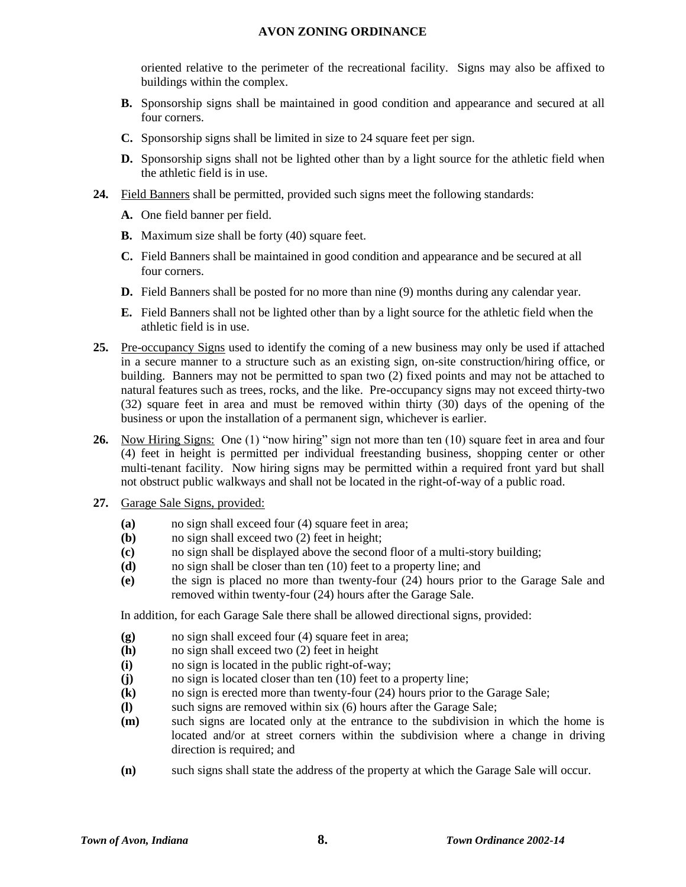oriented relative to the perimeter of the recreational facility. Signs may also be affixed to buildings within the complex.

- **B.** Sponsorship signs shall be maintained in good condition and appearance and secured at all four corners.
- **C.** Sponsorship signs shall be limited in size to 24 square feet per sign.
- **D.** Sponsorship signs shall not be lighted other than by a light source for the athletic field when the athletic field is in use.
- **24.** Field Banners shall be permitted, provided such signs meet the following standards:
	- **A.** One field banner per field.
	- **B.** Maximum size shall be forty (40) square feet.
	- **C.** Field Banners shall be maintained in good condition and appearance and be secured at all four corners.
	- **D.** Field Banners shall be posted for no more than nine (9) months during any calendar year.
	- **E.** Field Banners shall not be lighted other than by a light source for the athletic field when the athletic field is in use.
- 25. Pre-occupancy Signs used to identify the coming of a new business may only be used if attached in a secure manner to a structure such as an existing sign, on-site construction/hiring office, or building. Banners may not be permitted to span two (2) fixed points and may not be attached to natural features such as trees, rocks, and the like. Pre-occupancy signs may not exceed thirty-two (32) square feet in area and must be removed within thirty (30) days of the opening of the business or upon the installation of a permanent sign, whichever is earlier.
- **26.** Now Hiring Signs: One (1) "now hiring" sign not more than ten (10) square feet in area and four (4) feet in height is permitted per individual freestanding business, shopping center or other multi-tenant facility. Now hiring signs may be permitted within a required front yard but shall not obstruct public walkways and shall not be located in the right-of-way of a public road.
- **27.** Garage Sale Signs, provided:
	- **(a)** no sign shall exceed four (4) square feet in area;
	- **(b)** no sign shall exceed two (2) feet in height;
	- **(c)** no sign shall be displayed above the second floor of a multi-story building;
	- **(d)** no sign shall be closer than ten (10) feet to a property line; and
	- **(e)** the sign is placed no more than twenty-four (24) hours prior to the Garage Sale and removed within twenty-four (24) hours after the Garage Sale.

In addition, for each Garage Sale there shall be allowed directional signs, provided:

- **(g)** no sign shall exceed four (4) square feet in area;
- **(h)** no sign shall exceed two (2) feet in height
- **(i)** no sign is located in the public right-of-way;
- **(j)** no sign is located closer than ten (10) feet to a property line;
- **(k)** no sign is erected more than twenty-four (24) hours prior to the Garage Sale;
- **(l)** such signs are removed within six (6) hours after the Garage Sale;
- **(m)** such signs are located only at the entrance to the subdivision in which the home is located and/or at street corners within the subdivision where a change in driving direction is required; and
- **(n)** such signs shall state the address of the property at which the Garage Sale will occur.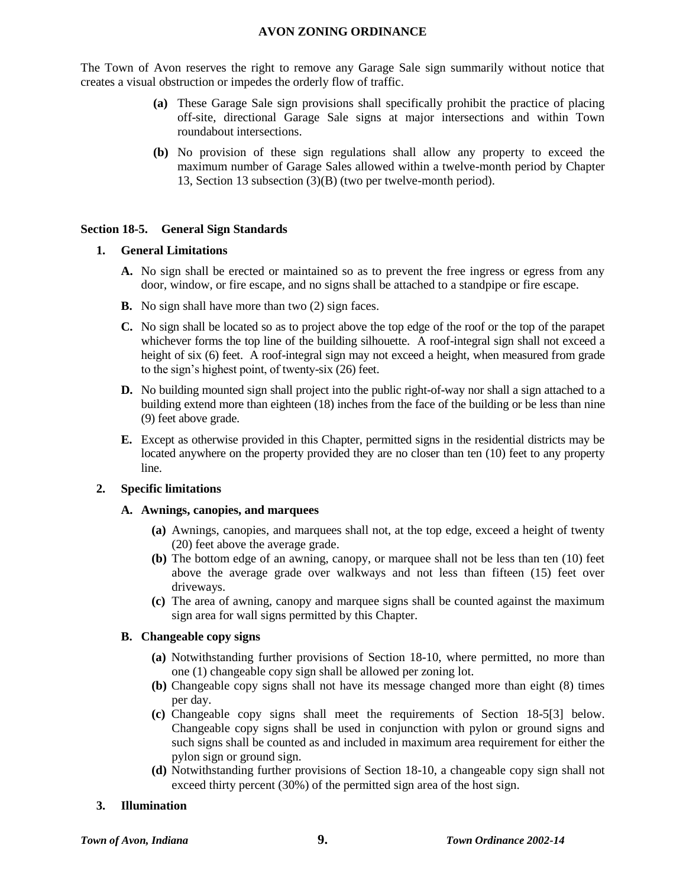The Town of Avon reserves the right to remove any Garage Sale sign summarily without notice that creates a visual obstruction or impedes the orderly flow of traffic.

- **(a)** These Garage Sale sign provisions shall specifically prohibit the practice of placing off-site, directional Garage Sale signs at major intersections and within Town roundabout intersections.
- **(b)** No provision of these sign regulations shall allow any property to exceed the maximum number of Garage Sales allowed within a twelve-month period by Chapter 13, Section 13 subsection (3)(B) (two per twelve-month period).

#### **Section 18-5. General Sign Standards**

#### **1. General Limitations**

- **A.** No sign shall be erected or maintained so as to prevent the free ingress or egress from any door, window, or fire escape, and no signs shall be attached to a standpipe or fire escape.
- **B.** No sign shall have more than two (2) sign faces.
- **C.** No sign shall be located so as to project above the top edge of the roof or the top of the parapet whichever forms the top line of the building silhouette. A roof-integral sign shall not exceed a height of six (6) feet. A roof-integral sign may not exceed a height, when measured from grade to the sign's highest point, of twenty-six (26) feet.
- **D.** No building mounted sign shall project into the public right-of-way nor shall a sign attached to a building extend more than eighteen (18) inches from the face of the building or be less than nine (9) feet above grade.
- **E.** Except as otherwise provided in this Chapter, permitted signs in the residential districts may be located anywhere on the property provided they are no closer than ten (10) feet to any property line.

#### **2. Specific limitations**

#### **A. Awnings, canopies, and marquees**

- **(a)** Awnings, canopies, and marquees shall not, at the top edge, exceed a height of twenty (20) feet above the average grade.
- **(b)** The bottom edge of an awning, canopy, or marquee shall not be less than ten (10) feet above the average grade over walkways and not less than fifteen (15) feet over driveways.
- **(c)** The area of awning, canopy and marquee signs shall be counted against the maximum sign area for wall signs permitted by this Chapter.

#### **B. Changeable copy signs**

- **(a)** Notwithstanding further provisions of Section 18-10, where permitted, no more than one (1) changeable copy sign shall be allowed per zoning lot.
- **(b)** Changeable copy signs shall not have its message changed more than eight (8) times per day.
- **(c)** Changeable copy signs shall meet the requirements of Section 18-5[3] below. Changeable copy signs shall be used in conjunction with pylon or ground signs and such signs shall be counted as and included in maximum area requirement for either the pylon sign or ground sign.
- **(d)** Notwithstanding further provisions of Section 18-10, a changeable copy sign shall not exceed thirty percent (30%) of the permitted sign area of the host sign.

#### **3. Illumination**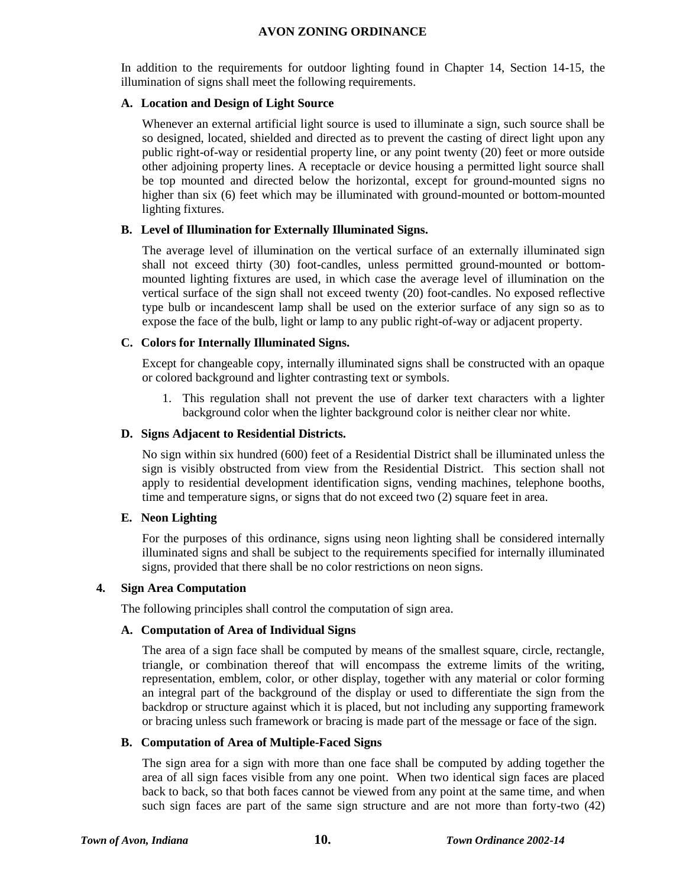In addition to the requirements for outdoor lighting found in Chapter 14, Section 14-15, the illumination of signs shall meet the following requirements.

#### **A. Location and Design of Light Source**

Whenever an external artificial light source is used to illuminate a sign, such source shall be so designed, located, shielded and directed as to prevent the casting of direct light upon any public right-of-way or residential property line, or any point twenty (20) feet or more outside other adjoining property lines. A receptacle or device housing a permitted light source shall be top mounted and directed below the horizontal, except for ground-mounted signs no higher than six (6) feet which may be illuminated with ground-mounted or bottom-mounted lighting fixtures.

#### **B. Level of Illumination for Externally Illuminated Signs.**

The average level of illumination on the vertical surface of an externally illuminated sign shall not exceed thirty (30) foot-candles, unless permitted ground-mounted or bottommounted lighting fixtures are used, in which case the average level of illumination on the vertical surface of the sign shall not exceed twenty (20) foot-candles. No exposed reflective type bulb or incandescent lamp shall be used on the exterior surface of any sign so as to expose the face of the bulb, light or lamp to any public right-of-way or adjacent property.

#### **C. Colors for Internally Illuminated Signs.**

Except for changeable copy, internally illuminated signs shall be constructed with an opaque or colored background and lighter contrasting text or symbols.

1. This regulation shall not prevent the use of darker text characters with a lighter background color when the lighter background color is neither clear nor white.

#### **D. Signs Adjacent to Residential Districts.**

No sign within six hundred (600) feet of a Residential District shall be illuminated unless the sign is visibly obstructed from view from the Residential District. This section shall not apply to residential development identification signs, vending machines, telephone booths, time and temperature signs, or signs that do not exceed two (2) square feet in area.

#### **E. Neon Lighting**

For the purposes of this ordinance, signs using neon lighting shall be considered internally illuminated signs and shall be subject to the requirements specified for internally illuminated signs, provided that there shall be no color restrictions on neon signs.

#### **4. Sign Area Computation**

The following principles shall control the computation of sign area.

#### **A. Computation of Area of Individual Signs**

The area of a sign face shall be computed by means of the smallest square, circle, rectangle, triangle, or combination thereof that will encompass the extreme limits of the writing, representation, emblem, color, or other display, together with any material or color forming an integral part of the background of the display or used to differentiate the sign from the backdrop or structure against which it is placed, but not including any supporting framework or bracing unless such framework or bracing is made part of the message or face of the sign.

#### **B. Computation of Area of Multiple-Faced Signs**

The sign area for a sign with more than one face shall be computed by adding together the area of all sign faces visible from any one point. When two identical sign faces are placed back to back, so that both faces cannot be viewed from any point at the same time, and when such sign faces are part of the same sign structure and are not more than forty-two (42)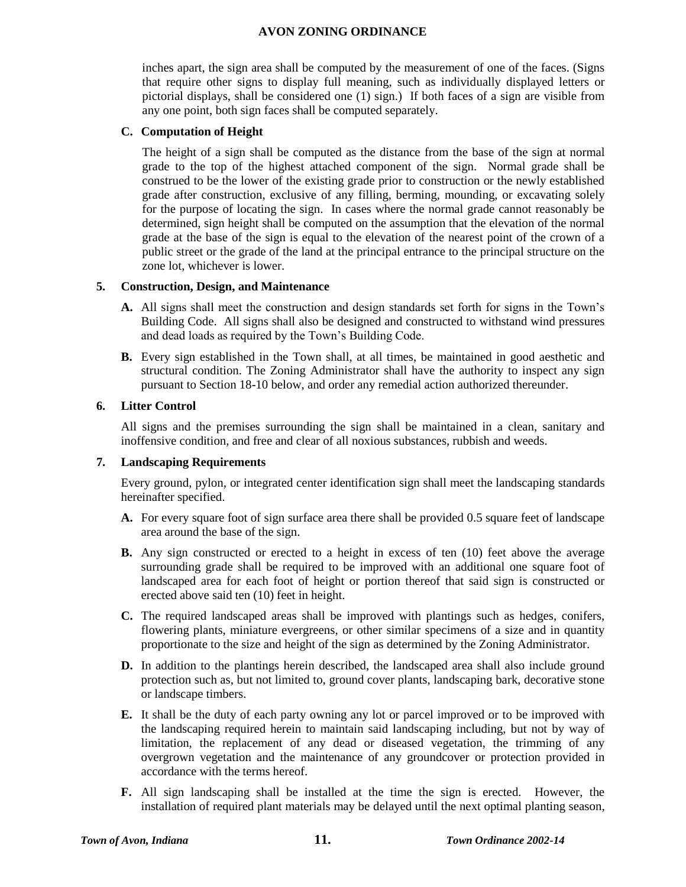inches apart, the sign area shall be computed by the measurement of one of the faces. (Signs that require other signs to display full meaning, such as individually displayed letters or pictorial displays, shall be considered one (1) sign.) If both faces of a sign are visible from any one point, both sign faces shall be computed separately.

#### **C. Computation of Height**

The height of a sign shall be computed as the distance from the base of the sign at normal grade to the top of the highest attached component of the sign. Normal grade shall be construed to be the lower of the existing grade prior to construction or the newly established grade after construction, exclusive of any filling, berming, mounding, or excavating solely for the purpose of locating the sign. In cases where the normal grade cannot reasonably be determined, sign height shall be computed on the assumption that the elevation of the normal grade at the base of the sign is equal to the elevation of the nearest point of the crown of a public street or the grade of the land at the principal entrance to the principal structure on the zone lot, whichever is lower.

#### **5. Construction, Design, and Maintenance**

- **A.** All signs shall meet the construction and design standards set forth for signs in the Town's Building Code. All signs shall also be designed and constructed to withstand wind pressures and dead loads as required by the Town's Building Code.
- **B.** Every sign established in the Town shall, at all times, be maintained in good aesthetic and structural condition. The Zoning Administrator shall have the authority to inspect any sign pursuant to Section 18-10 below, and order any remedial action authorized thereunder.

#### **6. Litter Control**

All signs and the premises surrounding the sign shall be maintained in a clean, sanitary and inoffensive condition, and free and clear of all noxious substances, rubbish and weeds.

#### **7. Landscaping Requirements**

Every ground, pylon, or integrated center identification sign shall meet the landscaping standards hereinafter specified.

- **A.** For every square foot of sign surface area there shall be provided 0.5 square feet of landscape area around the base of the sign.
- **B.** Any sign constructed or erected to a height in excess of ten (10) feet above the average surrounding grade shall be required to be improved with an additional one square foot of landscaped area for each foot of height or portion thereof that said sign is constructed or erected above said ten (10) feet in height.
- **C.** The required landscaped areas shall be improved with plantings such as hedges, conifers, flowering plants, miniature evergreens, or other similar specimens of a size and in quantity proportionate to the size and height of the sign as determined by the Zoning Administrator.
- **D.** In addition to the plantings herein described, the landscaped area shall also include ground protection such as, but not limited to, ground cover plants, landscaping bark, decorative stone or landscape timbers.
- **E.** It shall be the duty of each party owning any lot or parcel improved or to be improved with the landscaping required herein to maintain said landscaping including, but not by way of limitation, the replacement of any dead or diseased vegetation, the trimming of any overgrown vegetation and the maintenance of any groundcover or protection provided in accordance with the terms hereof.
- **F.** All sign landscaping shall be installed at the time the sign is erected. However, the installation of required plant materials may be delayed until the next optimal planting season,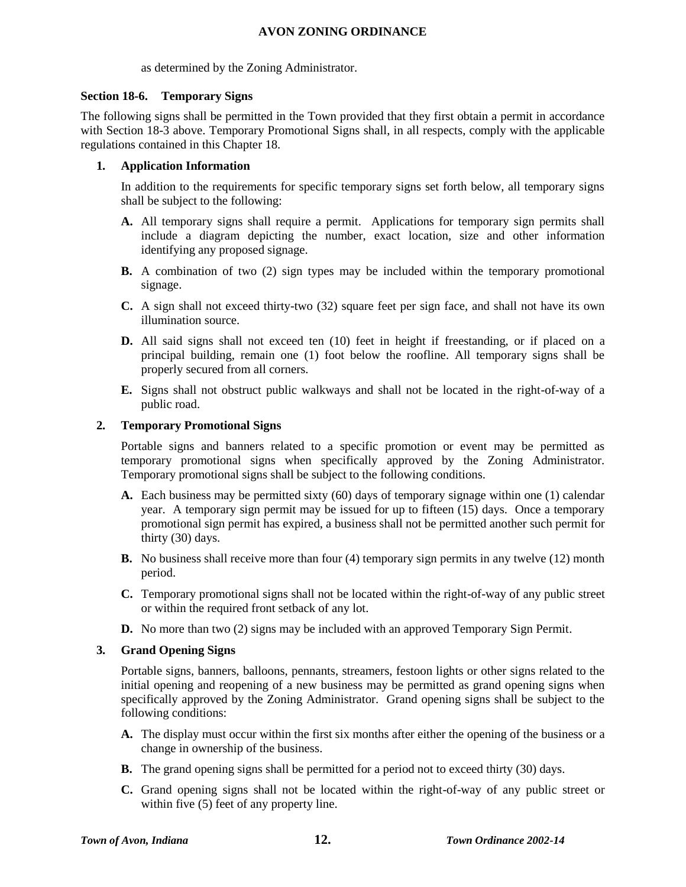as determined by the Zoning Administrator.

#### **Section 18-6. Temporary Signs**

The following signs shall be permitted in the Town provided that they first obtain a permit in accordance with Section 18-3 above. Temporary Promotional Signs shall, in all respects, comply with the applicable regulations contained in this Chapter 18.

## **1. Application Information**

In addition to the requirements for specific temporary signs set forth below, all temporary signs shall be subject to the following:

- **A.** All temporary signs shall require a permit. Applications for temporary sign permits shall include a diagram depicting the number, exact location, size and other information identifying any proposed signage.
- **B.** A combination of two (2) sign types may be included within the temporary promotional signage.
- **C.** A sign shall not exceed thirty-two (32) square feet per sign face, and shall not have its own illumination source.
- **D.** All said signs shall not exceed ten (10) feet in height if freestanding, or if placed on a principal building, remain one (1) foot below the roofline. All temporary signs shall be properly secured from all corners.
- **E.** Signs shall not obstruct public walkways and shall not be located in the right-of-way of a public road.

#### **2. Temporary Promotional Signs**

Portable signs and banners related to a specific promotion or event may be permitted as temporary promotional signs when specifically approved by the Zoning Administrator. Temporary promotional signs shall be subject to the following conditions.

- **A.** Each business may be permitted sixty (60) days of temporary signage within one (1) calendar year. A temporary sign permit may be issued for up to fifteen (15) days. Once a temporary promotional sign permit has expired, a business shall not be permitted another such permit for thirty (30) days.
- **B.** No business shall receive more than four (4) temporary sign permits in any twelve (12) month period.
- **C.** Temporary promotional signs shall not be located within the right-of-way of any public street or within the required front setback of any lot.
- **D.** No more than two (2) signs may be included with an approved Temporary Sign Permit.

#### **3. Grand Opening Signs**

Portable signs, banners, balloons, pennants, streamers, festoon lights or other signs related to the initial opening and reopening of a new business may be permitted as grand opening signs when specifically approved by the Zoning Administrator. Grand opening signs shall be subject to the following conditions:

- **A.** The display must occur within the first six months after either the opening of the business or a change in ownership of the business.
- **B.** The grand opening signs shall be permitted for a period not to exceed thirty (30) days.
- **C.** Grand opening signs shall not be located within the right-of-way of any public street or within five  $(5)$  feet of any property line.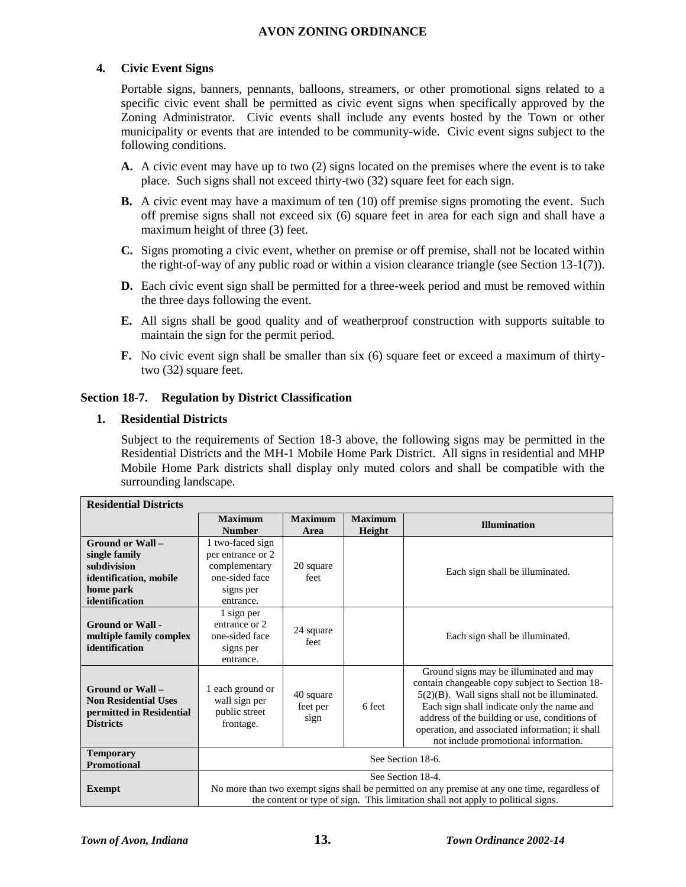## **4. Civic Event Signs**

Portable signs, banners, pennants, balloons, streamers, or other promotional signs related to a specific civic event shall be permitted as civic event signs when specifically approved by the Zoning Administrator. Civic events shall include any events hosted by the Town or other municipality or events that are intended to be community-wide. Civic event signs subject to the following conditions.

- **A.** A civic event may have up to two (2) signs located on the premises where the event is to take place. Such signs shall not exceed thirty-two (32) square feet for each sign.
- **B.** A civic event may have a maximum of ten (10) off premise signs promoting the event. Such off premise signs shall not exceed six (6) square feet in area for each sign and shall have a maximum height of three (3) feet.
- **C.** Signs promoting a civic event, whether on premise or off premise, shall not be located within the right-of-way of any public road or within a vision clearance triangle (see Section 13-1(7)).
- **D.** Each civic event sign shall be permitted for a three-week period and must be removed within the three days following the event.
- **E.** All signs shall be good quality and of weatherproof construction with supports suitable to maintain the sign for the permit period.
- **F.** No civic event sign shall be smaller than six (6) square feet or exceed a maximum of thirtytwo (32) square feet.

#### **Section 18-7. Regulation by District Classification**

#### **1. Residential Districts**

Subject to the requirements of Section 18-3 above, the following signs may be permitted in the Residential Districts and the MH-1 Mobile Home Park District. All signs in residential and MHP Mobile Home Park districts shall display only muted colors and shall be compatible with the surrounding landscape.

| <b>Residential Districts</b>                                                                    |                                                                                                                                                                                                         |                                                         |        |                                                                                                                                                                                                                                                                                                                                      |  |  |
|-------------------------------------------------------------------------------------------------|---------------------------------------------------------------------------------------------------------------------------------------------------------------------------------------------------------|---------------------------------------------------------|--------|--------------------------------------------------------------------------------------------------------------------------------------------------------------------------------------------------------------------------------------------------------------------------------------------------------------------------------------|--|--|
|                                                                                                 | <b>Maximum</b>                                                                                                                                                                                          | <b>Maximum</b><br><b>Maximum</b><br><b>Illumination</b> |        |                                                                                                                                                                                                                                                                                                                                      |  |  |
|                                                                                                 | <b>Number</b>                                                                                                                                                                                           | Area                                                    | Height |                                                                                                                                                                                                                                                                                                                                      |  |  |
| Ground or Wall -                                                                                | 1 two-faced sign                                                                                                                                                                                        |                                                         |        |                                                                                                                                                                                                                                                                                                                                      |  |  |
| single family                                                                                   | per entrance or 2                                                                                                                                                                                       |                                                         |        |                                                                                                                                                                                                                                                                                                                                      |  |  |
| subdivision                                                                                     | complementary                                                                                                                                                                                           | 20 square                                               |        | Each sign shall be illuminated.                                                                                                                                                                                                                                                                                                      |  |  |
| identification, mobile                                                                          | one-sided face                                                                                                                                                                                          | feet                                                    |        |                                                                                                                                                                                                                                                                                                                                      |  |  |
| home park                                                                                       | signs per                                                                                                                                                                                               |                                                         |        |                                                                                                                                                                                                                                                                                                                                      |  |  |
| identification                                                                                  | entrance.                                                                                                                                                                                               |                                                         |        |                                                                                                                                                                                                                                                                                                                                      |  |  |
| <b>Ground or Wall -</b><br>multiple family complex<br>identification                            | 1 sign per<br>entrance or 2<br>one-sided face<br>signs per<br>entrance.                                                                                                                                 | 24 square<br>feet                                       |        | Each sign shall be illuminated.                                                                                                                                                                                                                                                                                                      |  |  |
| Ground or Wall -<br><b>Non Residential Uses</b><br>permitted in Residential<br><b>Districts</b> | 1 each ground or<br>wall sign per<br>public street<br>frontage.                                                                                                                                         | 40 square<br>feet per<br>sign                           | 6 feet | Ground signs may be illuminated and may<br>contain changeable copy subject to Section 18-<br>5(2)(B). Wall signs shall not be illuminated.<br>Each sign shall indicate only the name and<br>address of the building or use, conditions of<br>operation, and associated information; it shall<br>not include promotional information. |  |  |
| <b>Temporary</b><br><b>Promotional</b>                                                          | See Section 18-6.                                                                                                                                                                                       |                                                         |        |                                                                                                                                                                                                                                                                                                                                      |  |  |
| <b>Exempt</b>                                                                                   | See Section 18-4.<br>No more than two exempt signs shall be permitted on any premise at any one time, regardless of<br>the content or type of sign. This limitation shall not apply to political signs. |                                                         |        |                                                                                                                                                                                                                                                                                                                                      |  |  |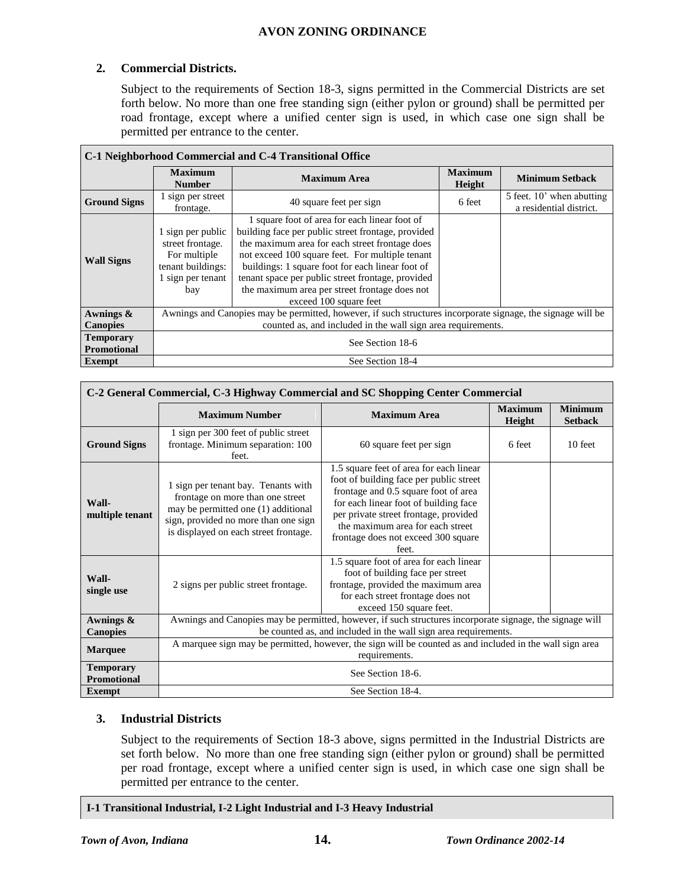# **2. Commercial Districts.**

Subject to the requirements of Section 18-3, signs permitted in the Commercial Districts are set forth below. No more than one free standing sign (either pylon or ground) shall be permitted per road frontage, except where a unified center sign is used, in which case one sign shall be permitted per entrance to the center.

| C-1 Neighborhood Commercial and C-4 Transitional Office |                                                                                                                                                                             |                                                                                                                                                                                                                                                                                                                                                                                              |                          |                                                      |  |  |
|---------------------------------------------------------|-----------------------------------------------------------------------------------------------------------------------------------------------------------------------------|----------------------------------------------------------------------------------------------------------------------------------------------------------------------------------------------------------------------------------------------------------------------------------------------------------------------------------------------------------------------------------------------|--------------------------|------------------------------------------------------|--|--|
|                                                         | <b>Maximum</b><br><b>Number</b>                                                                                                                                             | <b>Maximum Area</b>                                                                                                                                                                                                                                                                                                                                                                          | <b>Maximum</b><br>Height | <b>Minimum Setback</b>                               |  |  |
| <b>Ground Signs</b>                                     | 1 sign per street<br>frontage.                                                                                                                                              | 40 square feet per sign                                                                                                                                                                                                                                                                                                                                                                      | 6 feet                   | 5 feet. 10' when abutting<br>a residential district. |  |  |
| <b>Wall Signs</b>                                       | 1 sign per public<br>street frontage.<br>For multiple<br>tenant buildings:<br>1 sign per tenant<br>bay                                                                      | 1 square foot of area for each linear foot of<br>building face per public street frontage, provided<br>the maximum area for each street frontage does<br>not exceed 100 square feet. For multiple tenant<br>buildings: 1 square foot for each linear foot of<br>tenant space per public street frontage, provided<br>the maximum area per street frontage does not<br>exceed 100 square feet |                          |                                                      |  |  |
| Awnings &<br><b>Canopies</b>                            | Awnings and Canopies may be permitted, however, if such structures incorporate signage, the signage will be<br>counted as, and included in the wall sign area requirements. |                                                                                                                                                                                                                                                                                                                                                                                              |                          |                                                      |  |  |
| <b>Temporary</b><br><b>Promotional</b>                  | See Section 18-6                                                                                                                                                            |                                                                                                                                                                                                                                                                                                                                                                                              |                          |                                                      |  |  |
| Exempt                                                  | See Section 18-4                                                                                                                                                            |                                                                                                                                                                                                                                                                                                                                                                                              |                          |                                                      |  |  |

| C-2 General Commercial, C-3 Highway Commercial and SC Shopping Center Commercial |                                                                                                                                                                                                 |                                                                                                                                                                                                                                                                                                  |                          |                                  |  |  |
|----------------------------------------------------------------------------------|-------------------------------------------------------------------------------------------------------------------------------------------------------------------------------------------------|--------------------------------------------------------------------------------------------------------------------------------------------------------------------------------------------------------------------------------------------------------------------------------------------------|--------------------------|----------------------------------|--|--|
|                                                                                  | <b>Maximum Number</b>                                                                                                                                                                           | <b>Maximum Area</b>                                                                                                                                                                                                                                                                              | <b>Maximum</b><br>Height | <b>Minimum</b><br><b>Setback</b> |  |  |
| <b>Ground Signs</b>                                                              | 1 sign per 300 feet of public street<br>frontage. Minimum separation: 100<br>feet.                                                                                                              | 60 square feet per sign                                                                                                                                                                                                                                                                          | 6 feet                   | 10 feet                          |  |  |
| Wall-<br>multiple tenant                                                         | 1 sign per tenant bay. Tenants with<br>frontage on more than one street<br>may be permitted one (1) additional<br>sign, provided no more than one sign<br>is displayed on each street frontage. | 1.5 square feet of area for each linear<br>foot of building face per public street<br>frontage and 0.5 square foot of area<br>for each linear foot of building face<br>per private street frontage, provided<br>the maximum area for each street<br>frontage does not exceed 300 square<br>feet. |                          |                                  |  |  |
| Wall-<br>single use                                                              | 2 signs per public street frontage.                                                                                                                                                             | 1.5 square foot of area for each linear<br>foot of building face per street<br>frontage, provided the maximum area<br>for each street frontage does not<br>exceed 150 square feet.                                                                                                               |                          |                                  |  |  |
| Awnings &                                                                        | Awnings and Canopies may be permitted, however, if such structures incorporate signage, the signage will                                                                                        |                                                                                                                                                                                                                                                                                                  |                          |                                  |  |  |
| <b>Canopies</b>                                                                  | be counted as, and included in the wall sign area requirements.                                                                                                                                 |                                                                                                                                                                                                                                                                                                  |                          |                                  |  |  |
| <b>Marquee</b>                                                                   | A marquee sign may be permitted, however, the sign will be counted as and included in the wall sign area<br>requirements.                                                                       |                                                                                                                                                                                                                                                                                                  |                          |                                  |  |  |
| <b>Temporary</b><br><b>Promotional</b>                                           | See Section 18-6.                                                                                                                                                                               |                                                                                                                                                                                                                                                                                                  |                          |                                  |  |  |
| Exempt                                                                           | See Section 18-4.                                                                                                                                                                               |                                                                                                                                                                                                                                                                                                  |                          |                                  |  |  |

# **3. Industrial Districts**

Subject to the requirements of Section 18-3 above, signs permitted in the Industrial Districts are set forth below. No more than one free standing sign (either pylon or ground) shall be permitted per road frontage, except where a unified center sign is used, in which case one sign shall be permitted per entrance to the center.

#### **I-1 Transitional Industrial, I-2 Light Industrial and I-3 Heavy Industrial**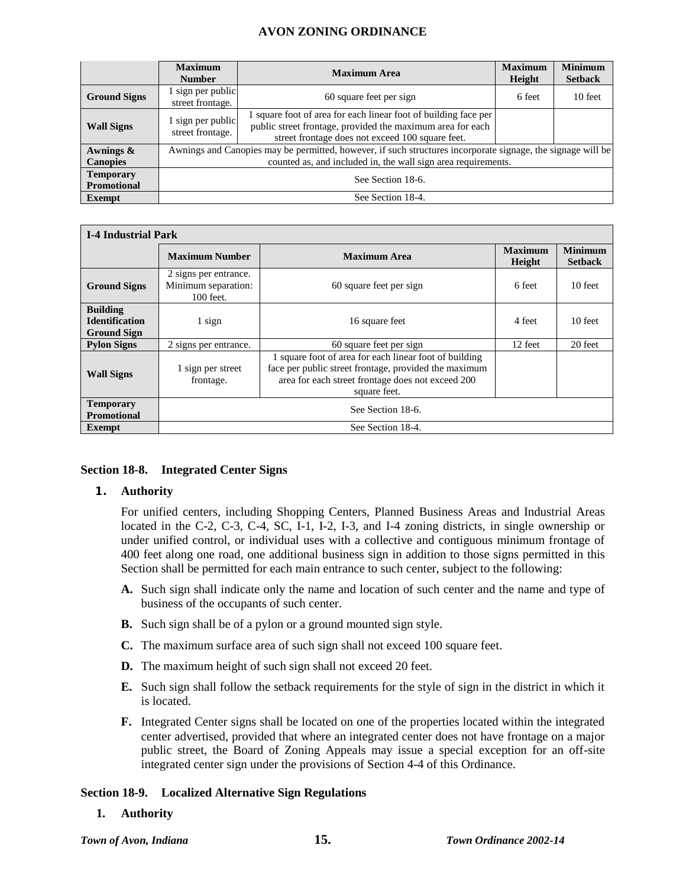|                                        | <b>Maximum</b><br><b>Number</b>                                                                             | <b>Maximum Area</b>                                                                                                                                                               | <b>Maximum</b><br>Height | <b>Minimum</b><br><b>Setback</b> |
|----------------------------------------|-------------------------------------------------------------------------------------------------------------|-----------------------------------------------------------------------------------------------------------------------------------------------------------------------------------|--------------------------|----------------------------------|
| <b>Ground Signs</b>                    | 1 sign per public<br>street frontage.                                                                       | 60 square feet per sign                                                                                                                                                           | 6 feet                   | 10 feet                          |
| <b>Wall Signs</b>                      | 1 sign per public<br>street frontage.                                                                       | 1 square foot of area for each linear foot of building face per<br>public street frontage, provided the maximum area for each<br>street frontage does not exceed 100 square feet. |                          |                                  |
| Awnings &                              | Awnings and Canopies may be permitted, however, if such structures incorporate signage, the signage will be |                                                                                                                                                                                   |                          |                                  |
| <b>Canopies</b>                        | counted as, and included in, the wall sign area requirements.                                               |                                                                                                                                                                                   |                          |                                  |
| <b>Temporary</b><br><b>Promotional</b> | See Section 18-6.                                                                                           |                                                                                                                                                                                   |                          |                                  |
| <b>Exempt</b>                          | See Section 18-4.                                                                                           |                                                                                                                                                                                   |                          |                                  |

| <b>I-4 Industrial Park</b>                                     |                                                             |                                                                                                                                                                                      |                          |                                  |  |  |
|----------------------------------------------------------------|-------------------------------------------------------------|--------------------------------------------------------------------------------------------------------------------------------------------------------------------------------------|--------------------------|----------------------------------|--|--|
|                                                                | <b>Maximum Number</b>                                       | <b>Maximum Area</b>                                                                                                                                                                  | <b>Maximum</b><br>Height | <b>Minimum</b><br><b>Setback</b> |  |  |
| <b>Ground Signs</b>                                            | 2 signs per entrance.<br>Minimum separation:<br>$100$ feet. | 60 square feet per sign                                                                                                                                                              | 6 feet                   | 10 feet                          |  |  |
| <b>Building</b><br><b>Identification</b><br><b>Ground Sign</b> | 1 sign                                                      | 16 square feet                                                                                                                                                                       | 4 feet                   | 10 feet                          |  |  |
| <b>Pylon Signs</b>                                             | 2 signs per entrance.                                       | 60 square feet per sign                                                                                                                                                              | 12 feet                  | 20 feet                          |  |  |
| <b>Wall Signs</b>                                              | 1 sign per street<br>frontage.                              | 1 square foot of area for each linear foot of building<br>face per public street frontage, provided the maximum<br>area for each street frontage does not exceed 200<br>square feet. |                          |                                  |  |  |
| <b>Temporary</b><br><b>Promotional</b>                         | See Section 18-6.                                           |                                                                                                                                                                                      |                          |                                  |  |  |
| <b>Exempt</b>                                                  | See Section 18-4.                                           |                                                                                                                                                                                      |                          |                                  |  |  |

#### **Section 18-8. Integrated Center Signs**

#### **1. Authority**

For unified centers, including Shopping Centers, Planned Business Areas and Industrial Areas located in the C-2, C-3, C-4, SC, I-1, I-2, I-3, and I-4 zoning districts, in single ownership or under unified control, or individual uses with a collective and contiguous minimum frontage of 400 feet along one road, one additional business sign in addition to those signs permitted in this Section shall be permitted for each main entrance to such center, subject to the following:

- **A.** Such sign shall indicate only the name and location of such center and the name and type of business of the occupants of such center.
- **B.** Such sign shall be of a pylon or a ground mounted sign style.
- **C.** The maximum surface area of such sign shall not exceed 100 square feet.
- **D.** The maximum height of such sign shall not exceed 20 feet.
- **E.** Such sign shall follow the setback requirements for the style of sign in the district in which it is located.
- **F.** Integrated Center signs shall be located on one of the properties located within the integrated center advertised, provided that where an integrated center does not have frontage on a major public street, the Board of Zoning Appeals may issue a special exception for an off-site integrated center sign under the provisions of Section 4-4 of this Ordinance.

#### **Section 18-9. Localized Alternative Sign Regulations**

**1. Authority**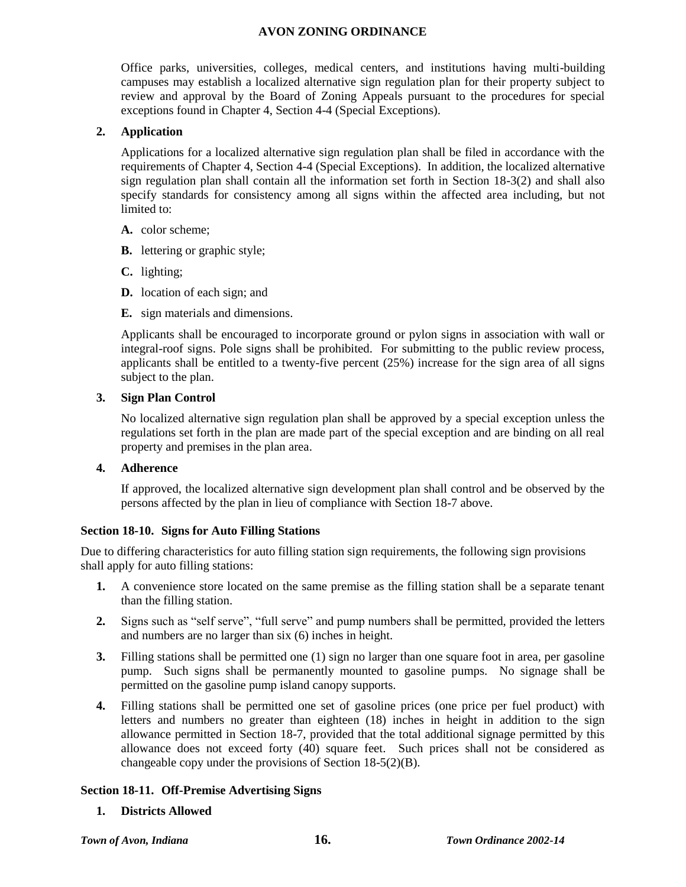Office parks, universities, colleges, medical centers, and institutions having multi-building campuses may establish a localized alternative sign regulation plan for their property subject to review and approval by the Board of Zoning Appeals pursuant to the procedures for special exceptions found in Chapter 4, Section 4-4 (Special Exceptions).

## **2. Application**

Applications for a localized alternative sign regulation plan shall be filed in accordance with the requirements of Chapter 4, Section 4-4 (Special Exceptions). In addition, the localized alternative sign regulation plan shall contain all the information set forth in Section 18-3(2) and shall also specify standards for consistency among all signs within the affected area including, but not limited to:

- **A.** color scheme;
- **B.** lettering or graphic style;
- **C.** lighting;
- **D.** location of each sign; and
- **E.** sign materials and dimensions.

Applicants shall be encouraged to incorporate ground or pylon signs in association with wall or integral-roof signs. Pole signs shall be prohibited. For submitting to the public review process, applicants shall be entitled to a twenty-five percent (25%) increase for the sign area of all signs subject to the plan.

#### **3. Sign Plan Control**

No localized alternative sign regulation plan shall be approved by a special exception unless the regulations set forth in the plan are made part of the special exception and are binding on all real property and premises in the plan area.

## **4. Adherence**

If approved, the localized alternative sign development plan shall control and be observed by the persons affected by the plan in lieu of compliance with Section 18-7 above.

#### **Section 18-10. Signs for Auto Filling Stations**

Due to differing characteristics for auto filling station sign requirements, the following sign provisions shall apply for auto filling stations:

- **1.** A convenience store located on the same premise as the filling station shall be a separate tenant than the filling station.
- **2.** Signs such as "self serve", "full serve" and pump numbers shall be permitted, provided the letters and numbers are no larger than six (6) inches in height.
- **3.** Filling stations shall be permitted one (1) sign no larger than one square foot in area, per gasoline pump. Such signs shall be permanently mounted to gasoline pumps. No signage shall be permitted on the gasoline pump island canopy supports.
- **4.** Filling stations shall be permitted one set of gasoline prices (one price per fuel product) with letters and numbers no greater than eighteen (18) inches in height in addition to the sign allowance permitted in Section 18-7, provided that the total additional signage permitted by this allowance does not exceed forty (40) square feet. Such prices shall not be considered as changeable copy under the provisions of Section 18-5(2)(B).

#### **Section 18-11. Off-Premise Advertising Signs**

**1. Districts Allowed**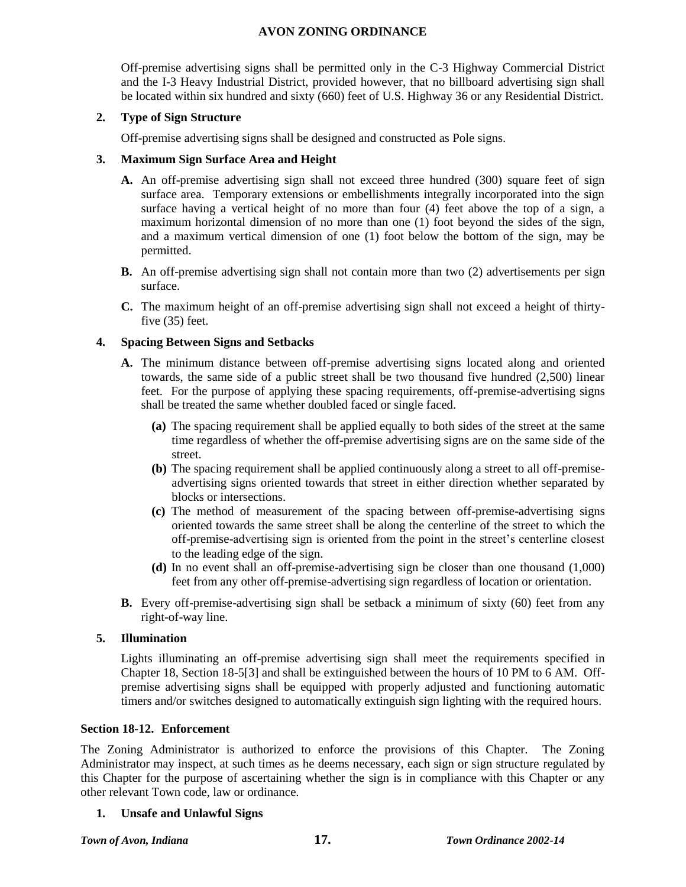Off-premise advertising signs shall be permitted only in the C-3 Highway Commercial District and the I-3 Heavy Industrial District, provided however, that no billboard advertising sign shall be located within six hundred and sixty (660) feet of U.S. Highway 36 or any Residential District.

## **2. Type of Sign Structure**

Off-premise advertising signs shall be designed and constructed as Pole signs.

# **3. Maximum Sign Surface Area and Height**

- **A.** An off-premise advertising sign shall not exceed three hundred (300) square feet of sign surface area. Temporary extensions or embellishments integrally incorporated into the sign surface having a vertical height of no more than four (4) feet above the top of a sign, a maximum horizontal dimension of no more than one (1) foot beyond the sides of the sign, and a maximum vertical dimension of one (1) foot below the bottom of the sign, may be permitted.
- **B.** An off-premise advertising sign shall not contain more than two (2) advertisements per sign surface.
- **C.** The maximum height of an off-premise advertising sign shall not exceed a height of thirtyfive (35) feet.

# **4. Spacing Between Signs and Setbacks**

- **A.** The minimum distance between off-premise advertising signs located along and oriented towards, the same side of a public street shall be two thousand five hundred (2,500) linear feet. For the purpose of applying these spacing requirements, off-premise-advertising signs shall be treated the same whether doubled faced or single faced.
	- **(a)** The spacing requirement shall be applied equally to both sides of the street at the same time regardless of whether the off-premise advertising signs are on the same side of the street.
	- **(b)** The spacing requirement shall be applied continuously along a street to all off-premiseadvertising signs oriented towards that street in either direction whether separated by blocks or intersections.
	- **(c)** The method of measurement of the spacing between off-premise-advertising signs oriented towards the same street shall be along the centerline of the street to which the off-premise-advertising sign is oriented from the point in the street's centerline closest to the leading edge of the sign.
	- **(d)** In no event shall an off-premise-advertising sign be closer than one thousand (1,000) feet from any other off-premise-advertising sign regardless of location or orientation.
- **B.** Every off-premise-advertising sign shall be setback a minimum of sixty (60) feet from any right-of-way line.

#### **5. Illumination**

Lights illuminating an off-premise advertising sign shall meet the requirements specified in Chapter 18, Section 18-5[3] and shall be extinguished between the hours of 10 PM to 6 AM. Offpremise advertising signs shall be equipped with properly adjusted and functioning automatic timers and/or switches designed to automatically extinguish sign lighting with the required hours.

#### **Section 18-12. Enforcement**

The Zoning Administrator is authorized to enforce the provisions of this Chapter. The Zoning Administrator may inspect, at such times as he deems necessary, each sign or sign structure regulated by this Chapter for the purpose of ascertaining whether the sign is in compliance with this Chapter or any other relevant Town code, law or ordinance.

**1. Unsafe and Unlawful Signs**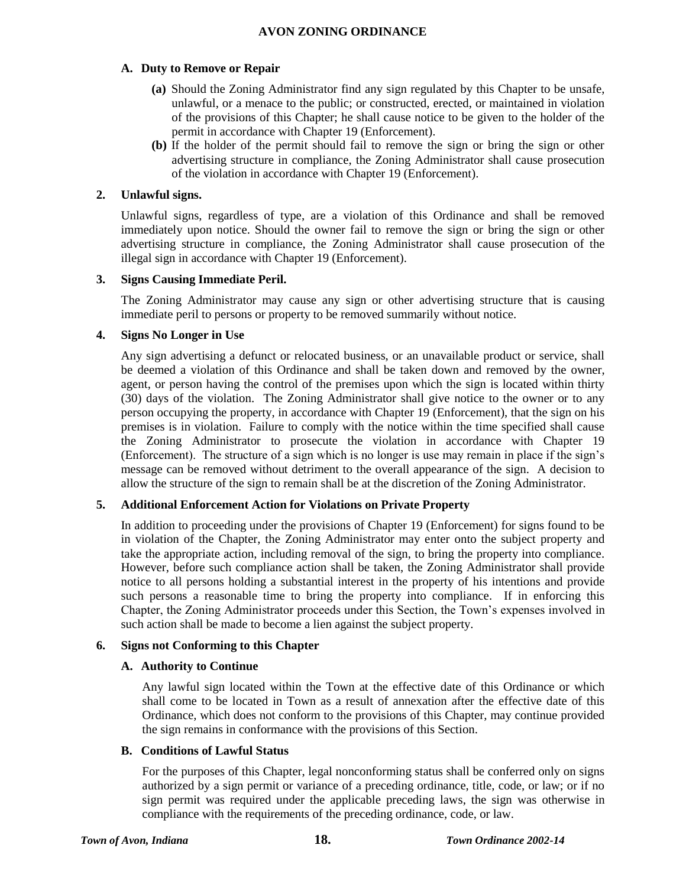# **A. Duty to Remove or Repair**

- **(a)** Should the Zoning Administrator find any sign regulated by this Chapter to be unsafe, unlawful, or a menace to the public; or constructed, erected, or maintained in violation of the provisions of this Chapter; he shall cause notice to be given to the holder of the permit in accordance with Chapter 19 (Enforcement).
- **(b)** If the holder of the permit should fail to remove the sign or bring the sign or other advertising structure in compliance, the Zoning Administrator shall cause prosecution of the violation in accordance with Chapter 19 (Enforcement).

# **2. Unlawful signs.**

Unlawful signs, regardless of type, are a violation of this Ordinance and shall be removed immediately upon notice. Should the owner fail to remove the sign or bring the sign or other advertising structure in compliance, the Zoning Administrator shall cause prosecution of the illegal sign in accordance with Chapter 19 (Enforcement).

#### **3. Signs Causing Immediate Peril.**

The Zoning Administrator may cause any sign or other advertising structure that is causing immediate peril to persons or property to be removed summarily without notice.

#### **4. Signs No Longer in Use**

Any sign advertising a defunct or relocated business, or an unavailable product or service, shall be deemed a violation of this Ordinance and shall be taken down and removed by the owner, agent, or person having the control of the premises upon which the sign is located within thirty (30) days of the violation. The Zoning Administrator shall give notice to the owner or to any person occupying the property, in accordance with Chapter 19 (Enforcement), that the sign on his premises is in violation. Failure to comply with the notice within the time specified shall cause the Zoning Administrator to prosecute the violation in accordance with Chapter 19 (Enforcement). The structure of a sign which is no longer is use may remain in place if the sign's message can be removed without detriment to the overall appearance of the sign. A decision to allow the structure of the sign to remain shall be at the discretion of the Zoning Administrator.

# **5. Additional Enforcement Action for Violations on Private Property**

In addition to proceeding under the provisions of Chapter 19 (Enforcement) for signs found to be in violation of the Chapter, the Zoning Administrator may enter onto the subject property and take the appropriate action, including removal of the sign, to bring the property into compliance. However, before such compliance action shall be taken, the Zoning Administrator shall provide notice to all persons holding a substantial interest in the property of his intentions and provide such persons a reasonable time to bring the property into compliance. If in enforcing this Chapter, the Zoning Administrator proceeds under this Section, the Town's expenses involved in such action shall be made to become a lien against the subject property.

#### **6. Signs not Conforming to this Chapter**

#### **A. Authority to Continue**

Any lawful sign located within the Town at the effective date of this Ordinance or which shall come to be located in Town as a result of annexation after the effective date of this Ordinance, which does not conform to the provisions of this Chapter, may continue provided the sign remains in conformance with the provisions of this Section.

#### **B. Conditions of Lawful Status**

For the purposes of this Chapter, legal nonconforming status shall be conferred only on signs authorized by a sign permit or variance of a preceding ordinance, title, code, or law; or if no sign permit was required under the applicable preceding laws, the sign was otherwise in compliance with the requirements of the preceding ordinance, code, or law.